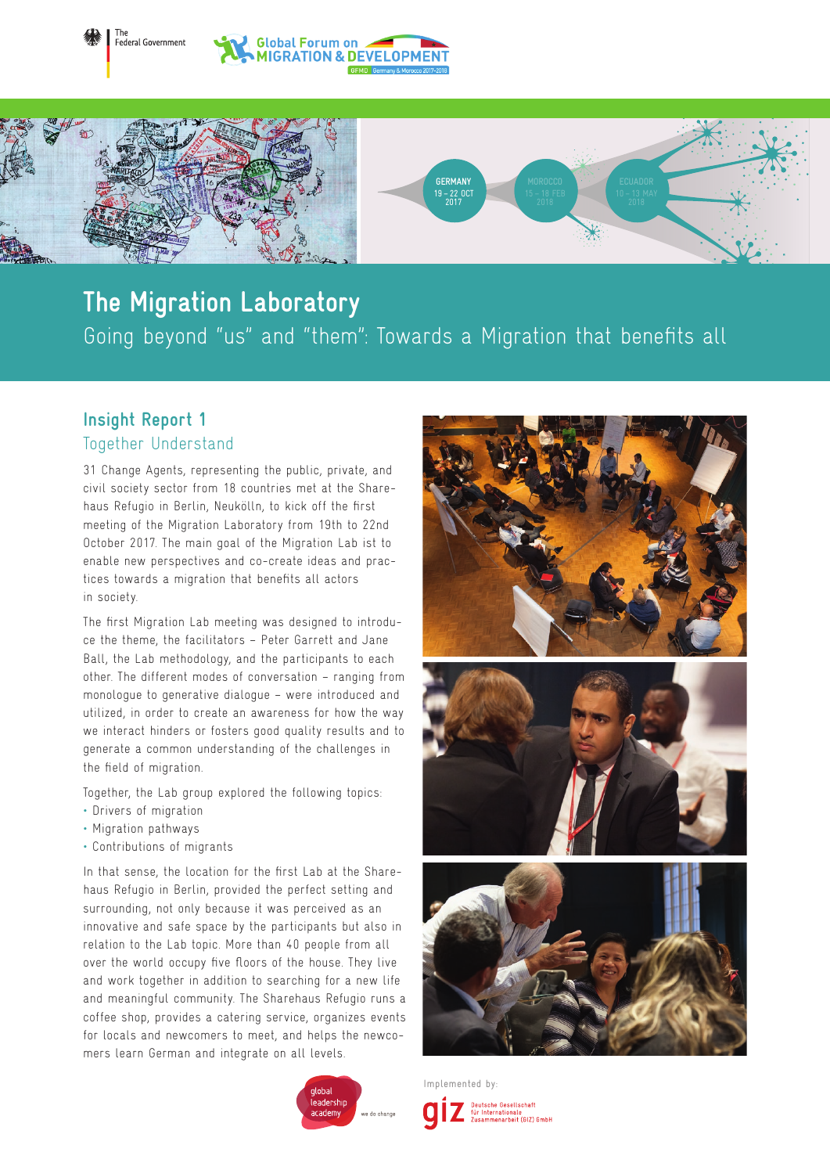



## Going beyond "us" and "them": Towards a Migration that benefits all **The Migration Laboratory**

## **Insight Report 1** Together Understand

31 Change Agents, representing the public, private, and civil society sector from 18 countries met at the Sharehaus Refugio in Berlin, Neukölln, to kick off the first meeting of the Migration Laboratory from 19th to 22nd October 2017. The main goal of the Migration Lab ist to enable new perspectives and co-create ideas and practices towards a migration that benefits all actors in society.

The first Migration Lab meeting was designed to introduce the theme, the facilitators – Peter Garrett and Jane Ball, the Lab methodology, and the participants to each other. The different modes of conversation – ranging from monologue to generative dialogue – were introduced and utilized, in order to create an awareness for how the way we interact hinders or fosters good quality results and to generate a common understanding of the challenges in the field of migration.

Together, the Lab group explored the following topics:

- Drivers of migration
- Migration pathways
- Contributions of migrants

In that sense, the location for the first Lab at the Sharehaus Refugio in Berlin, provided the perfect setting and surrounding, not only because it was perceived as an innovative and safe space by the participants but also in relation to the Lab topic. More than 40 people from all over the world occupy five floors of the house. They live and work together in addition to searching for a new life and meaningful community. The Sharehaus Refugio runs a coffee shop, provides a catering service, organizes events for locals and newcomers to meet, and helps the newcomers learn German and integrate on all levels.







Deutsche Gesellschaft<br>für Internationale<br>Zusammenarbeit (GIZ) GmbH